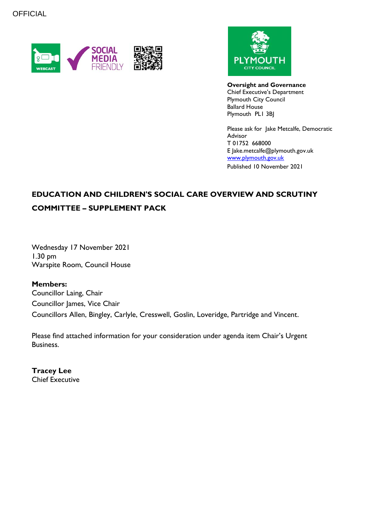



**Oversight and Governance** Chief Executive's Department Plymouth City Council Ballard House Plymouth PL1 3BJ

Please ask for Jake Metcalfe, Democratic Advisor T 01752 668000 E Jake.metcalfe@plymouth.gov.uk [www.plymouth.gov.uk](https://www.plymouth.gov.uk/councillorscommitteesandmeetings) Published 10 November 2021

## **EDUCATION AND CHILDREN'S SOCIAL CARE OVERVIEW AND SCRUTINY COMMITTEE – SUPPLEMENT PACK**

Wednesday 17 November 2021 1.30 pm Warspite Room, Council House

**Members:** Councillor Laing, Chair Councillor James, Vice Chair Councillors Allen, Bingley, Carlyle, Cresswell, Goslin, Loveridge, Partridge and Vincent.

Please find attached information for your consideration under agenda item Chair's Urgent Business.

**Tracey Lee** Chief Executive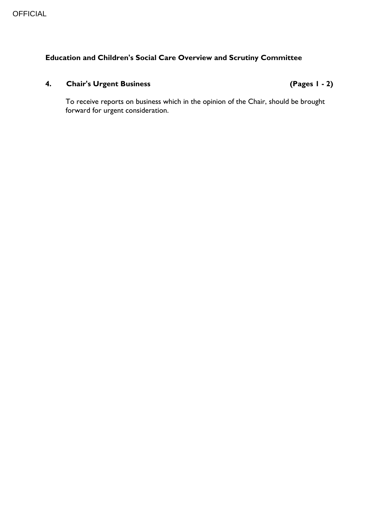## **Education and Children's Social Care Overview and Scrutiny Committee**

## **4. Chair's Urgent Business (Pages 1 - 2)**

To receive reports on business which in the opinion of the Chair, should be brought forward for urgent consideration.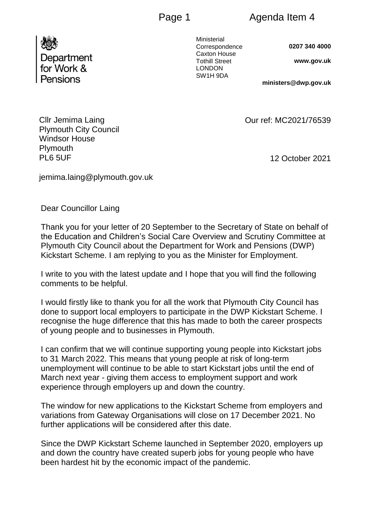Department for Work & Pensions

Ministerial Correspondence Caxton House Tothill Street LONDON SW1H 9DA

**0207 340 4000**

**www.gov.uk** 

**ministers@dwp.gov.uk**

12 October 2021

Our ref: MC2021/76539

Cllr Jemima Laing Plymouth City Council Windsor House **Plymouth** PL6 5UF

jemima.laing@plymouth.gov.uk

Dear Councillor Laing

Thank you for your letter of 20 September to the Secretary of State on behalf of the Education and Children's Social Care Overview and Scrutiny Committee at Plymouth City Council about the Department for Work and Pensions (DWP) Kickstart Scheme. I am replying to you as the Minister for Employment.

I write to you with the latest update and I hope that you will find the following comments to be helpful.

I would firstly like to thank you for all the work that Plymouth City Council has done to support local employers to participate in the DWP Kickstart Scheme. I recognise the huge difference that this has made to both the career prospects of young people and to businesses in Plymouth.

I can confirm that we will continue supporting young people into Kickstart jobs to 31 March 2022. This means that young people at risk of long-term unemployment will continue to be able to start Kickstart jobs until the end of March next year - giving them access to employment support and work experience through employers up and down the country.

The window for new applications to the Kickstart Scheme from employers and variations from Gateway Organisations will close on 17 December 2021. No further applications will be considered after this date.

Since the DWP Kickstart Scheme launched in September 2020, employers up and down the country have created superb jobs for young people who have been hardest hit by the economic impact of the pandemic.